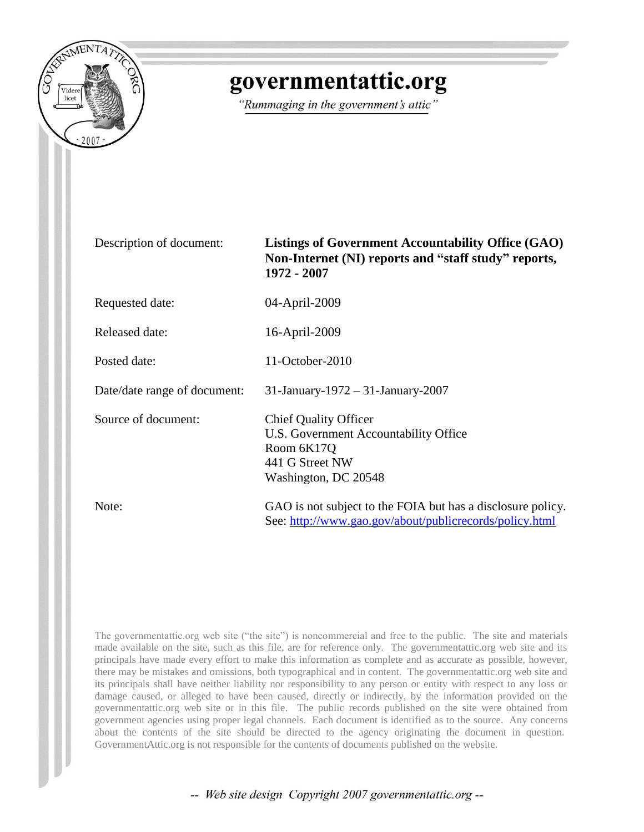

## governmentattic.org

"Rummaging in the government's attic"

| Description of document:     | <b>Listings of Government Accountability Office (GAO)</b><br>Non-Internet (NI) reports and "staff study" reports,<br>1972 - 2007 |
|------------------------------|----------------------------------------------------------------------------------------------------------------------------------|
| Requested date:              | 04-April-2009                                                                                                                    |
| <b>Released date:</b>        | 16-April-2009                                                                                                                    |
| Posted date:                 | 11-October-2010                                                                                                                  |
| Date/date range of document: | 31-January-1972 – 31-January-2007                                                                                                |
| Source of document:          | <b>Chief Quality Officer</b><br>U.S. Government Accountability Office<br>Room 6K17Q<br>441 G Street NW<br>Washington, DC 20548   |
| Note:                        | GAO is not subject to the FOIA but has a disclosure policy.<br>See: http://www.gao.gov/about/publicrecords/policy.html           |

The governmentattic.org web site ("the site") is noncommercial and free to the public. The site and materials made available on the site, such as this file, are for reference only. The governmentattic.org web site and its principals have made every effort to make this information as complete and as accurate as possible, however, there may be mistakes and omissions, both typographical and in content. The governmentattic.org web site and its principals shall have neither liability nor responsibility to any person or entity with respect to any loss or damage caused, or alleged to have been caused, directly or indirectly, by the information provided on the governmentattic.org web site or in this file. The public records published on the site were obtained from government agencies using proper legal channels. Each document is identified as to the source. Any concerns about the contents of the site should be directed to the agency originating the document in question. GovernmentAttic.org is not responsible for the contents of documents published on the website.

-- Web site design Copyright 2007 governmentattic.org --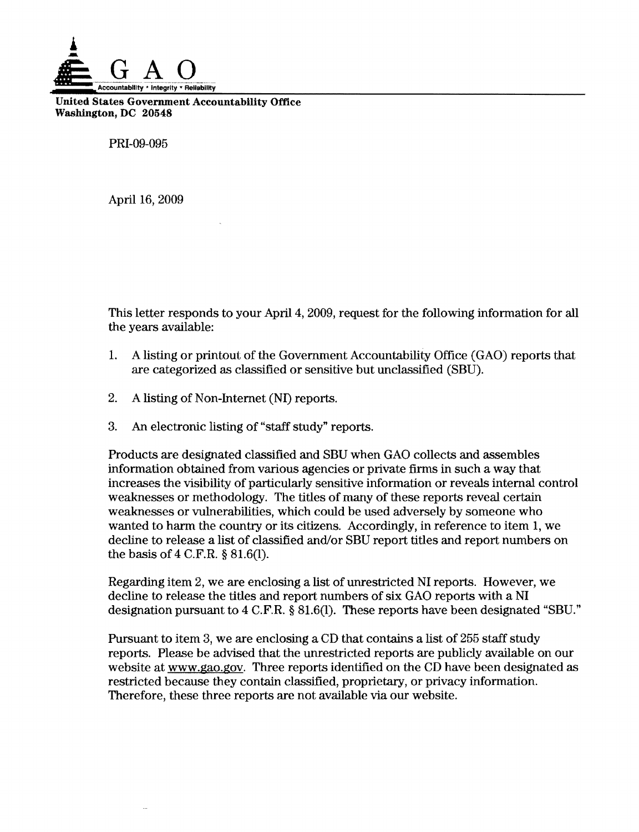

United States Government Accountability Office Washington, DC 20548

PRI-09-095

April 16, 2009

This letter responds to your April 4, 2009, request for the following information for all the years available:

- 1. A listing or printout of the Government Accountability Office (GAO) reports that are categorized as classified or sensitive but unclassified (SBU).
- 2. A listing of Non-Internet (NI) reports.
- 3. An electronic listing of "staff study" reports.

Products are designated classified and SBU when GAO collects and assembles information obtained from various agencies or private firms in such a way that increases the visibility of particularly sensitive information or reveals internal control weaknesses or methodology. The titles of many of these reports reveal certain weaknesses or vulnerabilities, which could be used adversely by someone who wanted to harm the country or its citizens. Accordingly, in reference to item 1, we decline to release a list of classified and/or SBU report titles and report numbers on the basis of 4 C.F.R. § 81.6(1).

Regarding item 2, we are enclosing a list of unrestricted NI reports. However, we decline to release the titles and report numbers of six GAO reports with a NI designation pursuant to 4 C.F.R. § 81.6(1). These reports have been designated "SBU."

Pursuant to item 3, we are enclosing a CD that contains a list of 255 staff study reports. Please be advised that the unrestricted reports are publicly available on our website at www.gao.gov. Three reports identified on the CD have been designated as restricted because they contain classified, proprietary, or privacy information. Therefore, these three reports are not available via our website.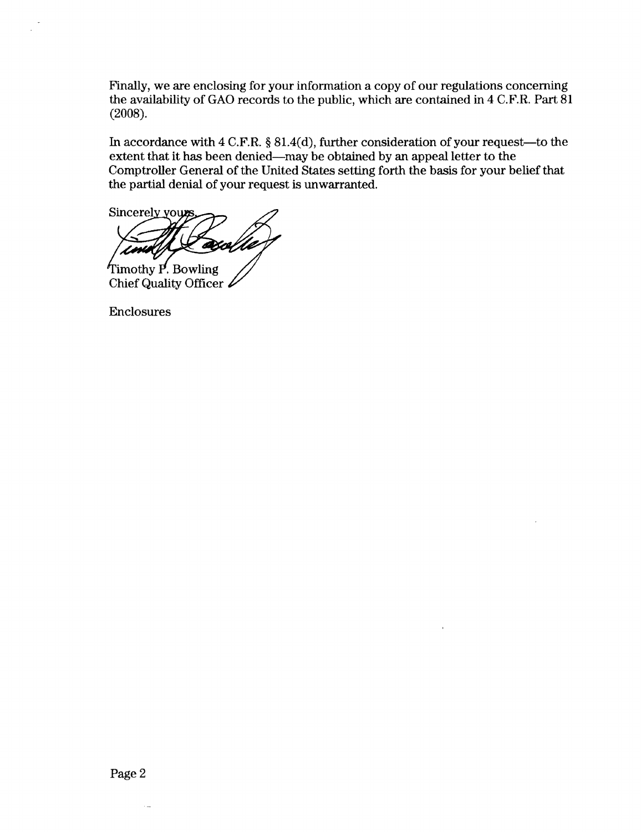Finally, we are enclosing for your information a copy of our regulations concerning the availability of GAO records to the public, which are contained in 4 C.F.R. Part 81 (2008).

In accordance with  $4 \text{ C.F.R. }$  §  $81.4(d)$ , further consideration of your request—to the extent that it has been denied-may be obtained by an appeal letter to the Comptroller General of the United States setting forth the basis for your belief that the partial denial of your request is unwarranted.

Sincerely yours axo Timothy P. Bowling

Chief Quality Officer

Enclosures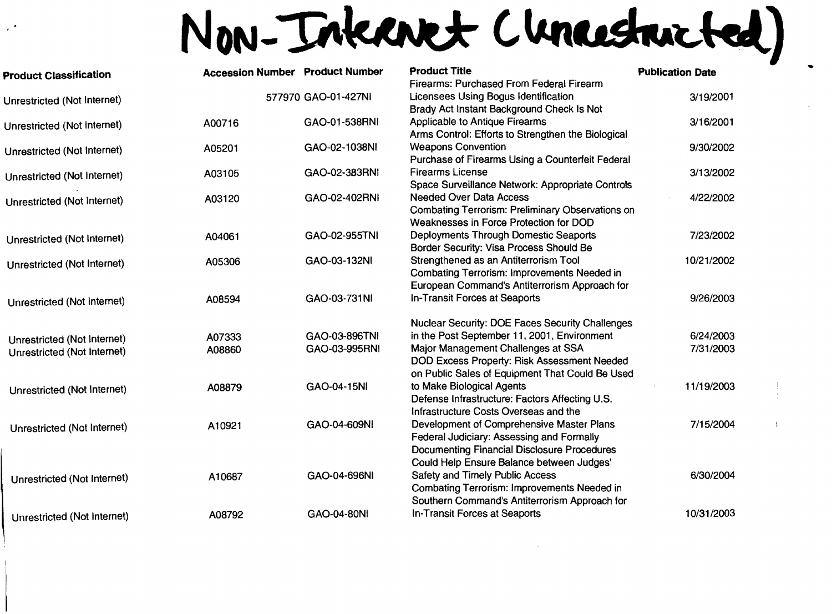# Non-Inkanet (Incestricted)

| <b>Product Classification</b>                              | <b>Accession Number Product Number</b> |                     | <b>Product Title</b><br><b>Firearms: Purchased From Federal Firearm</b>                                                                                                      | <b>Publication Date</b> |
|------------------------------------------------------------|----------------------------------------|---------------------|------------------------------------------------------------------------------------------------------------------------------------------------------------------------------|-------------------------|
| Unrestricted (Not Internet)                                |                                        | 577970 GAO-01-427NI | Licensees Using Bogus Identification                                                                                                                                         | 3/19/2001               |
| Unrestricted (Not Internet)                                | A00716                                 | GAO-01-538RNI       | Brady Act Instant Background Check Is Not<br>Applicable to Antique Firearms<br>Arms Control: Efforts to Strengthen the Biological                                            | 3/16/2001               |
| Unrestricted (Not Internet)                                | A05201                                 | GAO-02-1038NI       | <b>Weapons Convention</b><br>Purchase of Firearms Using a Counterfeit Federal                                                                                                | 9/30/2002               |
| Unrestricted (Not Internet)                                | A03105                                 | GAO-02-383RNI       | <b>Firearms License</b><br>Space Surveillance Network: Appropriate Controls                                                                                                  | 3/13/2002               |
| Unrestricted (Not Internet)                                | A03120                                 | GAO-02-402RNI       | <b>Needed Over Data Access</b><br>Combating Terrorism: Preliminary Observations on<br>Weaknesses in Force Protection for DOD                                                 | 4/22/2002               |
| Unrestricted (Not Internet)                                | A04061                                 | GAO-02-955TNI       | <b>Deployments Through Domestic Seaports</b><br>Border Security: Visa Process Should Be                                                                                      | 7/23/2002               |
| Unrestricted (Not Internet)                                | A05306                                 | GAO-03-132NI        | Strengthened as an Antiterrorism Tool<br>Combating Terrorism: Improvements Needed in                                                                                         | 10/21/2002              |
| Unrestricted (Not Internet)                                | A08594                                 | GAO-03-731NI        | European Command's Antiterrorism Approach for<br>In-Transit Forces at Seaports                                                                                               | 9/26/2003               |
|                                                            |                                        | GAO-03-896TNI       | <b>Nuclear Security: DOE Faces Security Challenges</b><br>in the Post September 11, 2001, Environment                                                                        | 6/24/2003               |
| Unrestricted (Not Internet)<br>Unrestricted (Not Internet) | A07333<br>A08860                       | GAO-03-995RNI       | Major Management Challenges at SSA<br>DOD Excess Property: Risk Assessment Needed<br>on Public Sales of Equipment That Could Be Used                                         | 7/31/2003               |
| Unrestricted (Not Internet)                                | A08879                                 | GAO-04-15NI         | to Make Biological Agents<br>Defense Infrastructure: Factors Affecting U.S.<br>Infrastructure Costs Overseas and the                                                         | 11/19/2003              |
| Unrestricted (Not Internet)                                | A10921                                 | GAO-04-609NI        | Development of Comprehensive Master Plans<br>Federal Judiciary: Assessing and Formally<br><b>Documenting Financial Disclosure Procedures</b>                                 | 7/15/2004               |
| Unrestricted (Not Internet)                                | A10687                                 | GAO-04-696NI        | Could Help Ensure Balance between Judges'<br>Safety and Timely Public Access<br>Combating Terrorism: Improvements Needed in<br>Southern Command's Antiterrorism Approach for | 6/30/2004               |
| Unrestricted (Not Internet)                                | A08792                                 | GAO-04-80NI         | In-Transit Forces at Seaports                                                                                                                                                | 10/31/2003              |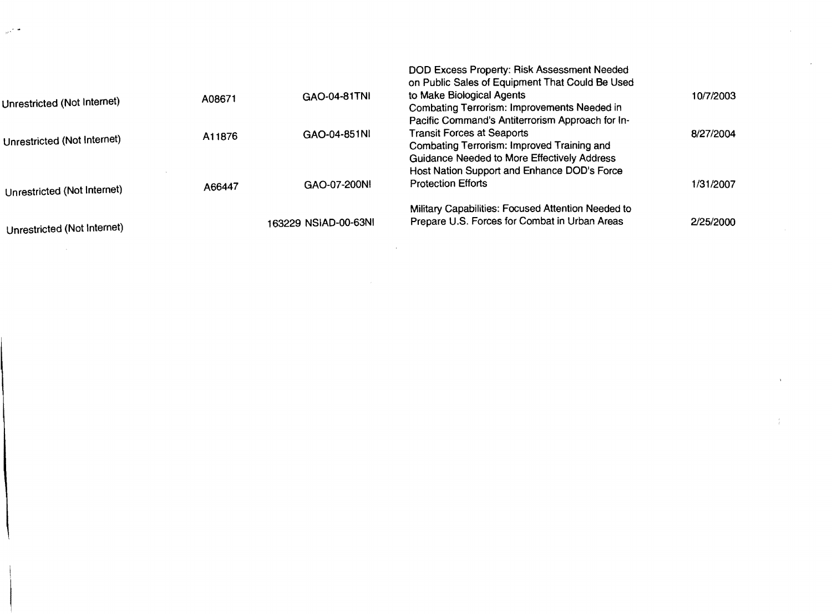|                             |        |                      | DOD Excess Property: Risk Assessment Needed<br>on Public Sales of Equipment That Could Be Used |           |
|-----------------------------|--------|----------------------|------------------------------------------------------------------------------------------------|-----------|
| Unrestricted (Not Internet) | A08671 | GAO-04-81TNI         | to Make Biological Agents                                                                      | 10/7/2003 |
|                             |        |                      | Combating Terrorism: Improvements Needed in                                                    |           |
|                             |        |                      | Pacific Command's Antiterrorism Approach for In-                                               |           |
| Unrestricted (Not Internet) | A11876 | GAO-04-851N          | <b>Transit Forces at Seaports</b>                                                              | 8/27/2004 |
|                             |        |                      | Combating Terrorism: Improved Training and                                                     |           |
|                             |        |                      | Guidance Needed to More Effectively Address                                                    |           |
|                             |        |                      | Host Nation Support and Enhance DOD's Force                                                    |           |
| Unrestricted (Not Internet) | A66447 | GAO-07-200NI         | <b>Protection Efforts</b>                                                                      | 1/31/2007 |
|                             |        |                      | Military Capabilities: Focused Attention Needed to                                             |           |
| Unrestricted (Not Internet) |        | 163229 NSIAD-00-63NI | Prepare U.S. Forces for Combat in Urban Areas                                                  | 2/25/2000 |
|                             |        |                      |                                                                                                |           |

 $\mathcal{L}(\mathcal{L}(\mathcal{L}(\mathcal{L}(\mathcal{L}(\mathcal{L}(\mathcal{L}(\mathcal{L}(\mathcal{L}(\mathcal{L}(\mathcal{L}(\mathcal{L}(\mathcal{L}(\mathcal{L}(\mathcal{L}(\mathcal{L}(\mathcal{L}(\mathcal{L}(\mathcal{L}(\mathcal{L}(\mathcal{L}(\mathcal{L}(\mathcal{L}(\mathcal{L}(\mathcal{L}(\mathcal{L}(\mathcal{L}(\mathcal{L}(\mathcal{L}(\mathcal{L}(\mathcal{L}(\mathcal{L}(\mathcal{L}(\mathcal{L}(\mathcal{L}(\mathcal{L}(\mathcal{$ 

 $\sim$   $\mu$  s  $^{-1}$ 

 $\mathcal{L}^{\text{max}}_{\text{max}}$ 

 $\label{eq:R1} \mathfrak{F} = \mathfrak{F} \times \mathfrak{F} \times \mathfrak{F} \times \mathfrak{F} \times \mathfrak{F} \times \mathfrak{F} \times \mathfrak{F} \times \mathfrak{F} \times \mathfrak{F} \times \mathfrak{F} \times \mathfrak{F} \times \mathfrak{F} \times \mathfrak{F} \times \mathfrak{F} \times \mathfrak{F} \times \mathfrak{F} \times \mathfrak{F} \times \mathfrak{F} \times \mathfrak{F} \times \mathfrak{F} \times \mathfrak{F} \times \mathfrak{F} \times \mathfrak{F$ 

 $\sim 4$  .

 $\mathcal{L}^{\text{max}}_{\text{max}}$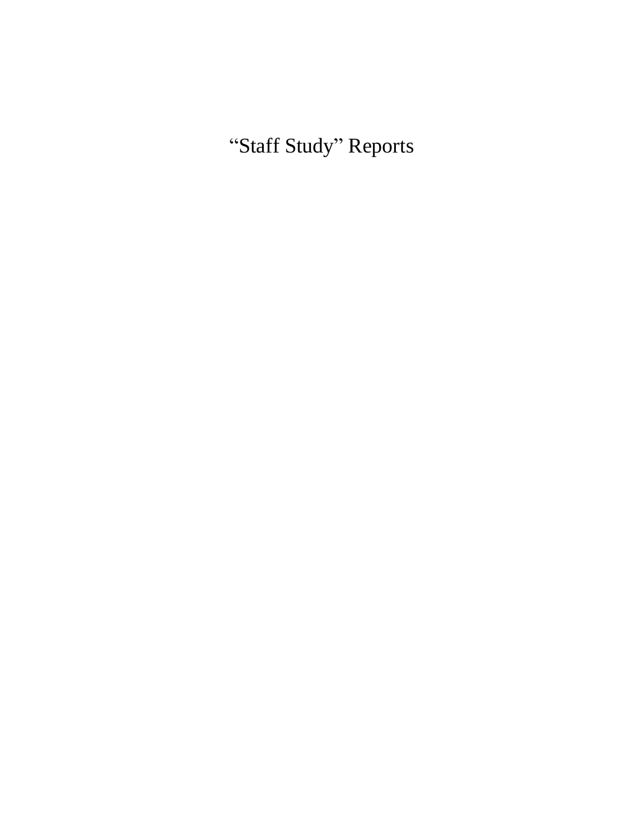"Staff Study" Reports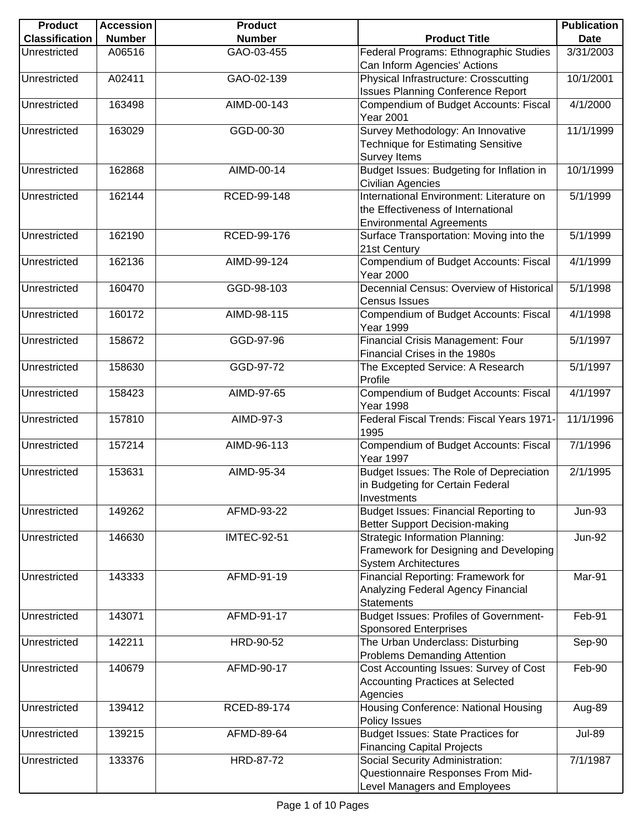| <b>Product</b>        | <b>Accession</b> | <b>Product</b>     |                                                                                                                   | <b>Publication</b> |
|-----------------------|------------------|--------------------|-------------------------------------------------------------------------------------------------------------------|--------------------|
| <b>Classification</b> | <b>Number</b>    | <b>Number</b>      | <b>Product Title</b>                                                                                              | <b>Date</b>        |
| Unrestricted          | A06516           | GAO-03-455         | Federal Programs: Ethnographic Studies<br>Can Inform Agencies' Actions                                            | 3/31/2003          |
| Unrestricted          | A02411           | GAO-02-139         | Physical Infrastructure: Crosscutting                                                                             | 10/1/2001          |
| Unrestricted          | 163498           | AIMD-00-143        | <b>Issues Planning Conference Report</b><br>Compendium of Budget Accounts: Fiscal                                 | 4/1/2000           |
| Unrestricted          | 163029           | GGD-00-30          | <b>Year 2001</b><br>Survey Methodology: An Innovative                                                             | 11/1/1999          |
|                       |                  |                    | <b>Technique for Estimating Sensitive</b><br>Survey Items                                                         |                    |
| Unrestricted          | 162868           | AIMD-00-14         | Budget Issues: Budgeting for Inflation in<br>Civilian Agencies                                                    | 10/1/1999          |
| Unrestricted          | 162144           | RCED-99-148        | International Environment: Literature on<br>the Effectiveness of International<br><b>Environmental Agreements</b> | 5/1/1999           |
| Unrestricted          | 162190           | RCED-99-176        | Surface Transportation: Moving into the<br>21st Century                                                           | 5/1/1999           |
| Unrestricted          | 162136           | AIMD-99-124        | Compendium of Budget Accounts: Fiscal<br><b>Year 2000</b>                                                         | 4/1/1999           |
| Unrestricted          | 160470           | GGD-98-103         | Decennial Census: Overview of Historical<br><b>Census Issues</b>                                                  | 5/1/1998           |
| Unrestricted          | 160172           | AIMD-98-115        | Compendium of Budget Accounts: Fiscal<br><b>Year 1999</b>                                                         | 4/1/1998           |
| Unrestricted          | 158672           | GGD-97-96          | Financial Crisis Management: Four<br>Financial Crises in the 1980s                                                | 5/1/1997           |
| Unrestricted          | 158630           | GGD-97-72          | The Excepted Service: A Research<br>Profile                                                                       | 5/1/1997           |
| Unrestricted          | 158423           | AIMD-97-65         | Compendium of Budget Accounts: Fiscal<br>Year 1998                                                                | 4/1/1997           |
| Unrestricted          | 157810           | AIMD-97-3          | Federal Fiscal Trends: Fiscal Years 1971-<br>1995                                                                 | 11/1/1996          |
| Unrestricted          | 157214           | AIMD-96-113        | Compendium of Budget Accounts: Fiscal<br>Year 1997                                                                | 7/1/1996           |
| Unrestricted          | 153631           | AIMD-95-34         | Budget Issues: The Role of Depreciation<br>in Budgeting for Certain Federal<br>Investments                        | 2/1/1995           |
| Unrestricted          | 149262           | AFMD-93-22         | Budget Issues: Financial Reporting to<br><b>Better Support Decision-making</b>                                    | <b>Jun-93</b>      |
| Unrestricted          | 146630           | <b>IMTEC-92-51</b> | <b>Strategic Information Planning:</b><br>Framework for Designing and Developing<br><b>System Architectures</b>   | <b>Jun-92</b>      |
| Unrestricted          | 143333           | AFMD-91-19         | Financial Reporting: Framework for<br>Analyzing Federal Agency Financial<br><b>Statements</b>                     | Mar-91             |
| Unrestricted          | 143071           | AFMD-91-17         | <b>Budget Issues: Profiles of Government-</b><br><b>Sponsored Enterprises</b>                                     | Feb-91             |
| Unrestricted          | 142211           | HRD-90-52          | The Urban Underclass: Disturbing<br><b>Problems Demanding Attention</b>                                           | Sep-90             |
| Unrestricted          | 140679           | AFMD-90-17         | Cost Accounting Issues: Survey of Cost<br><b>Accounting Practices at Selected</b><br>Agencies                     | Feb-90             |
| Unrestricted          | 139412           | RCED-89-174        | Housing Conference: National Housing<br>Policy Issues                                                             | Aug-89             |
| Unrestricted          | 139215           | AFMD-89-64         | <b>Budget Issues: State Practices for</b><br><b>Financing Capital Projects</b>                                    | <b>Jul-89</b>      |
| Unrestricted          | 133376           | HRD-87-72          | Social Security Administration:<br>Questionnaire Responses From Mid-<br>Level Managers and Employees              | 7/1/1987           |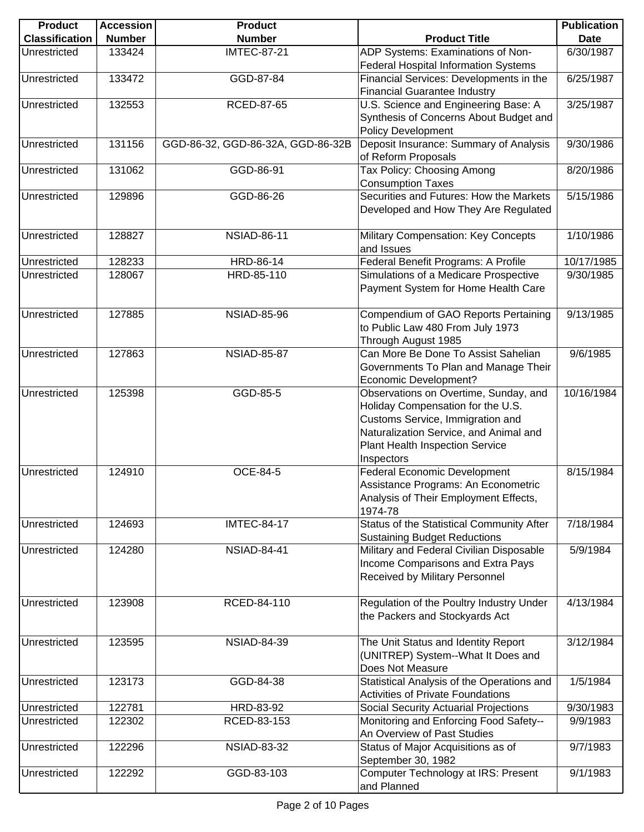| <b>Product</b>        | <b>Accession</b> | <b>Product</b>                    |                                            | <b>Publication</b> |
|-----------------------|------------------|-----------------------------------|--------------------------------------------|--------------------|
| <b>Classification</b> | <b>Number</b>    | <b>Number</b>                     | <b>Product Title</b>                       | <b>Date</b>        |
| Unrestricted          | 133424           | <b>IMTEC-87-21</b>                | ADP Systems: Examinations of Non-          | 6/30/1987          |
|                       |                  |                                   | Federal Hospital Information Systems       |                    |
| Unrestricted          | 133472           | GGD-87-84                         | Financial Services: Developments in the    | 6/25/1987          |
|                       |                  |                                   | <b>Financial Guarantee Industry</b>        |                    |
| Unrestricted          | 132553           | RCED-87-65                        | U.S. Science and Engineering Base: A       | 3/25/1987          |
|                       |                  |                                   | Synthesis of Concerns About Budget and     |                    |
|                       |                  |                                   | <b>Policy Development</b>                  |                    |
| Unrestricted          | 131156           | GGD-86-32, GGD-86-32A, GGD-86-32B | Deposit Insurance: Summary of Analysis     | 9/30/1986          |
|                       |                  |                                   | of Reform Proposals                        |                    |
| Unrestricted          | 131062           | GGD-86-91                         | Tax Policy: Choosing Among                 | 8/20/1986          |
|                       |                  |                                   | <b>Consumption Taxes</b>                   |                    |
| Unrestricted          | 129896           | GGD-86-26                         | Securities and Futures: How the Markets    | 5/15/1986          |
|                       |                  |                                   | Developed and How They Are Regulated       |                    |
|                       |                  |                                   |                                            |                    |
| Unrestricted          | 128827           | <b>NSIAD-86-11</b>                | Military Compensation: Key Concepts        | 1/10/1986          |
|                       |                  |                                   | and Issues                                 |                    |
| Unrestricted          | 128233           | HRD-86-14                         | Federal Benefit Programs: A Profile        | 10/17/1985         |
| Unrestricted          | 128067           | HRD-85-110                        | Simulations of a Medicare Prospective      | 9/30/1985          |
|                       |                  |                                   | Payment System for Home Health Care        |                    |
|                       |                  |                                   |                                            |                    |
| Unrestricted          | 127885           | <b>NSIAD-85-96</b>                | Compendium of GAO Reports Pertaining       | 9/13/1985          |
|                       |                  |                                   | to Public Law 480 From July 1973           |                    |
|                       |                  |                                   | Through August 1985                        |                    |
| Unrestricted          | 127863           | <b>NSIAD-85-87</b>                | Can More Be Done To Assist Sahelian        | 9/6/1985           |
|                       |                  |                                   | Governments To Plan and Manage Their       |                    |
|                       |                  |                                   | <b>Economic Development?</b>               |                    |
| Unrestricted          | 125398           | GGD-85-5                          | Observations on Overtime, Sunday, and      | 10/16/1984         |
|                       |                  |                                   | Holiday Compensation for the U.S.          |                    |
|                       |                  |                                   | Customs Service, Immigration and           |                    |
|                       |                  |                                   | Naturalization Service, and Animal and     |                    |
|                       |                  |                                   | Plant Health Inspection Service            |                    |
|                       |                  |                                   | Inspectors                                 |                    |
| Unrestricted          | 124910           | OCE-84-5                          | <b>Federal Economic Development</b>        | 8/15/1984          |
|                       |                  |                                   | Assistance Programs: An Econometric        |                    |
|                       |                  |                                   | Analysis of Their Employment Effects,      |                    |
|                       |                  |                                   | 1974-78                                    |                    |
| Unrestricted          | 124693           | <b>IMTEC-84-17</b>                | Status of the Statistical Community After  | 7/18/1984          |
|                       |                  |                                   | <b>Sustaining Budget Reductions</b>        |                    |
| Unrestricted          | 124280           | <b>NSIAD-84-41</b>                | Military and Federal Civilian Disposable   | 5/9/1984           |
|                       |                  |                                   | Income Comparisons and Extra Pays          |                    |
|                       |                  |                                   | Received by Military Personnel             |                    |
|                       |                  |                                   |                                            |                    |
| Unrestricted          | 123908           | RCED-84-110                       | Regulation of the Poultry Industry Under   | 4/13/1984          |
|                       |                  |                                   | the Packers and Stockyards Act             |                    |
|                       |                  |                                   |                                            |                    |
| Unrestricted          | 123595           | <b>NSIAD-84-39</b>                | The Unit Status and Identity Report        | 3/12/1984          |
|                       |                  |                                   | (UNITREP) System--What It Does and         |                    |
|                       |                  |                                   | Does Not Measure                           |                    |
| Unrestricted          | 123173           | GGD-84-38                         | Statistical Analysis of the Operations and | 1/5/1984           |
|                       |                  |                                   | <b>Activities of Private Foundations</b>   |                    |
| Unrestricted          | 122781           | HRD-83-92                         | Social Security Actuarial Projections      | 9/30/1983          |
| Unrestricted          | 122302           | RCED-83-153                       | Monitoring and Enforcing Food Safety--     | 9/9/1983           |
|                       |                  |                                   | An Overview of Past Studies                |                    |
| Unrestricted          | 122296           | <b>NSIAD-83-32</b>                | Status of Major Acquisitions as of         | 9/7/1983           |
|                       |                  |                                   | September 30, 1982                         |                    |
| Unrestricted          | 122292           | GGD-83-103                        | Computer Technology at IRS: Present        | 9/1/1983           |
|                       |                  |                                   | and Planned                                |                    |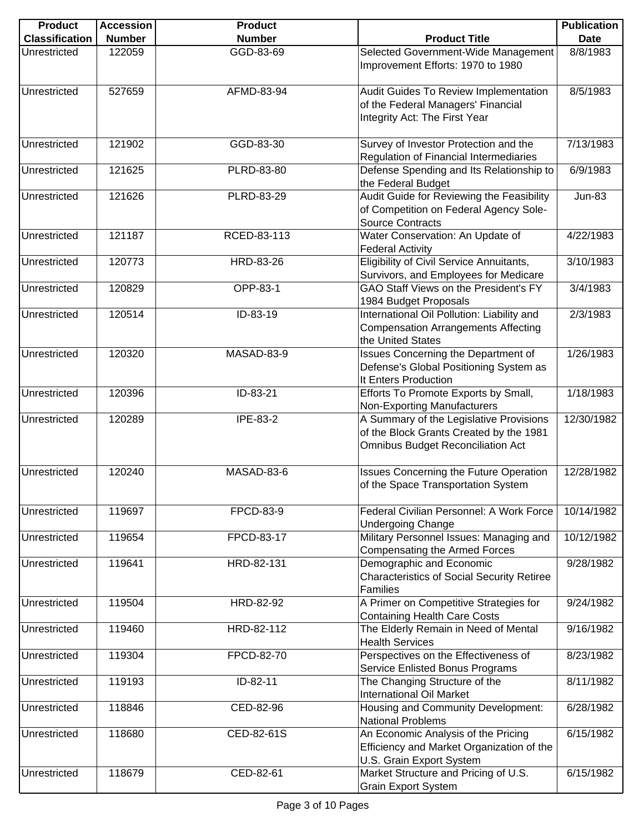| <b>Product</b>        | <b>Accession</b> | <b>Product</b> |                                                                                                                                | <b>Publication</b> |
|-----------------------|------------------|----------------|--------------------------------------------------------------------------------------------------------------------------------|--------------------|
| <b>Classification</b> | <b>Number</b>    | <b>Number</b>  | <b>Product Title</b>                                                                                                           | <b>Date</b>        |
| Unrestricted          | 122059           | GGD-83-69      | Selected Government-Wide Management<br>Improvement Efforts: 1970 to 1980                                                       | 8/8/1983           |
| Unrestricted          | 527659           | AFMD-83-94     | Audit Guides To Review Implementation<br>of the Federal Managers' Financial<br>Integrity Act: The First Year                   | 8/5/1983           |
| Unrestricted          | 121902           | GGD-83-30      | Survey of Investor Protection and the<br>Regulation of Financial Intermediaries                                                | 7/13/1983          |
| Unrestricted          | 121625           | PLRD-83-80     | Defense Spending and Its Relationship to<br>the Federal Budget                                                                 | 6/9/1983           |
| Unrestricted          | 121626           | PLRD-83-29     | Audit Guide for Reviewing the Feasibility<br>of Competition on Federal Agency Sole-<br><b>Source Contracts</b>                 | <b>Jun-83</b>      |
| Unrestricted          | 121187           | RCED-83-113    | Water Conservation: An Update of<br><b>Federal Activity</b>                                                                    | 4/22/1983          |
| Unrestricted          | 120773           | HRD-83-26      | Eligibility of Civil Service Annuitants,<br>Survivors, and Employees for Medicare                                              | 3/10/1983          |
| Unrestricted          | 120829           | OPP-83-1       | GAO Staff Views on the President's FY<br>1984 Budget Proposals                                                                 | 3/4/1983           |
| Unrestricted          | 120514           | ID-83-19       | International Oil Pollution: Liability and<br><b>Compensation Arrangements Affecting</b><br>the United States                  | 2/3/1983           |
| Unrestricted          | 120320           | MASAD-83-9     | Issues Concerning the Department of<br>Defense's Global Positioning System as<br>It Enters Production                          | 1/26/1983          |
| Unrestricted          | 120396           | ID-83-21       | Efforts To Promote Exports by Small,<br><b>Non-Exporting Manufacturers</b>                                                     | 1/18/1983          |
| Unrestricted          | 120289           | IPE-83-2       | A Summary of the Legislative Provisions<br>of the Block Grants Created by the 1981<br><b>Omnibus Budget Reconciliation Act</b> | 12/30/1982         |
| Unrestricted          | 120240           | MASAD-83-6     | <b>Issues Concerning the Future Operation</b><br>of the Space Transportation System                                            | 12/28/1982         |
| Unrestricted          | 119697           | FPCD-83-9      | Federal Civilian Personnel: A Work Force<br><b>Undergoing Change</b>                                                           | 10/14/1982         |
| Unrestricted          | 119654           | FPCD-83-17     | Military Personnel Issues: Managing and<br><b>Compensating the Armed Forces</b>                                                | 10/12/1982         |
| Unrestricted          | 119641           | HRD-82-131     | Demographic and Economic<br><b>Characteristics of Social Security Retiree</b><br><b>Families</b>                               | 9/28/1982          |
| Unrestricted          | 119504           | HRD-82-92      | A Primer on Competitive Strategies for<br><b>Containing Health Care Costs</b>                                                  | 9/24/1982          |
| Unrestricted          | 119460           | HRD-82-112     | The Elderly Remain in Need of Mental<br><b>Health Services</b>                                                                 | 9/16/1982          |
| Unrestricted          | 119304           | FPCD-82-70     | Perspectives on the Effectiveness of<br>Service Enlisted Bonus Programs                                                        | 8/23/1982          |
| Unrestricted          | 119193           | ID-82-11       | The Changing Structure of the<br><b>International Oil Market</b>                                                               | 8/11/1982          |
| Unrestricted          | 118846           | CED-82-96      | Housing and Community Development:<br><b>National Problems</b>                                                                 | 6/28/1982          |
| Unrestricted          | 118680           | CED-82-61S     | An Economic Analysis of the Pricing<br>Efficiency and Market Organization of the<br>U.S. Grain Export System                   | 6/15/1982          |
| Unrestricted          | 118679           | CED-82-61      | Market Structure and Pricing of U.S.<br><b>Grain Export System</b>                                                             | 6/15/1982          |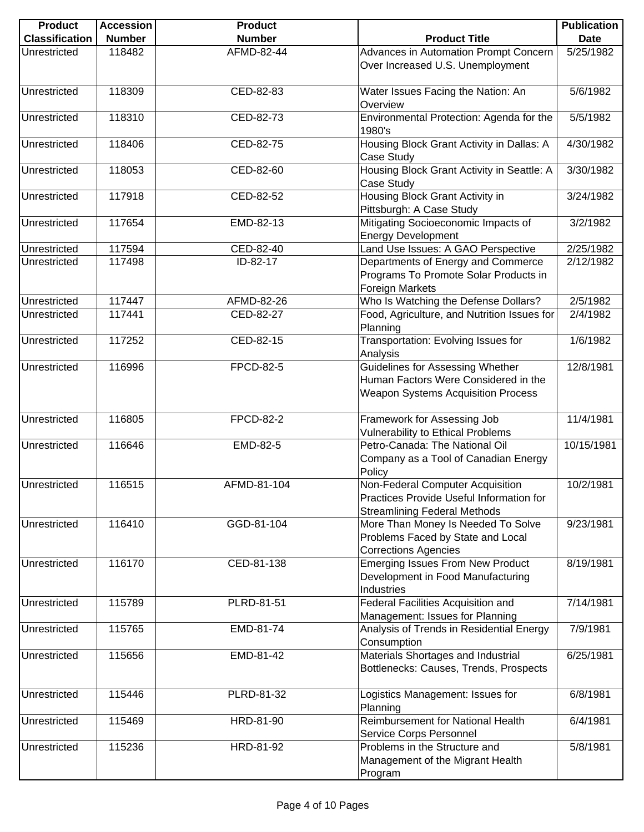| <b>Product</b>        | <b>Accession</b> | <b>Product</b>   |                                                                                                                                               | <b>Publication</b> |
|-----------------------|------------------|------------------|-----------------------------------------------------------------------------------------------------------------------------------------------|--------------------|
| <b>Classification</b> | <b>Number</b>    | <b>Number</b>    | <b>Product Title</b>                                                                                                                          | <b>Date</b>        |
| Unrestricted          | 118482           | AFMD-82-44       | Advances in Automation Prompt Concern                                                                                                         | 5/25/1982          |
|                       |                  |                  | Over Increased U.S. Unemployment                                                                                                              |                    |
| Unrestricted          | 118309           | CED-82-83        | Water Issues Facing the Nation: An<br>Overview                                                                                                | 5/6/1982           |
| Unrestricted          | 118310           | CED-82-73        | Environmental Protection: Agenda for the<br>1980's                                                                                            | 5/5/1982           |
| Unrestricted          | 118406           | CED-82-75        | Housing Block Grant Activity in Dallas: A<br>Case Study                                                                                       | 4/30/1982          |
| Unrestricted          | 118053           | CED-82-60        | Housing Block Grant Activity in Seattle: A<br>Case Study                                                                                      | 3/30/1982          |
| Unrestricted          | 117918           | CED-82-52        | Housing Block Grant Activity in<br>Pittsburgh: A Case Study                                                                                   | 3/24/1982          |
| Unrestricted          | 117654           | EMD-82-13        | Mitigating Socioeconomic Impacts of<br><b>Energy Development</b>                                                                              | 3/2/1982           |
| Unrestricted          | 117594           | CED-82-40        | Land Use Issues: A GAO Perspective                                                                                                            | 2/25/1982          |
| Unrestricted          | 117498           | ID-82-17         | Departments of Energy and Commerce<br>Programs To Promote Solar Products in<br><b>Foreign Markets</b>                                         | 2/12/1982          |
| Unrestricted          | 117447           | AFMD-82-26       | Who Is Watching the Defense Dollars?                                                                                                          | 2/5/1982           |
| Unrestricted          | 117441           | CED-82-27        | Food, Agriculture, and Nutrition Issues for<br>Planning                                                                                       | 2/4/1982           |
| Unrestricted          | 117252           | CED-82-15        | Transportation: Evolving Issues for<br>Analysis                                                                                               | 1/6/1982           |
| Unrestricted          | 116996           | <b>FPCD-82-5</b> | Guidelines for Assessing Whether<br>Human Factors Were Considered in the<br><b>Weapon Systems Acquisition Process</b>                         | 12/8/1981          |
| Unrestricted          | 116805           | <b>FPCD-82-2</b> | Framework for Assessing Job<br><b>Vulnerability to Ethical Problems</b>                                                                       | 11/4/1981          |
| Unrestricted          | 116646           | EMD-82-5         | Petro-Canada: The National Oil<br>Company as a Tool of Canadian Energy<br>Policy                                                              | 10/15/1981         |
| Unrestricted          | 116515           | AFMD-81-104      | Non-Federal Computer Acquisition<br>Practices Provide Useful Information for                                                                  | 10/2/1981          |
| Unrestricted          | 116410           | GGD-81-104       | <b>Streamlining Federal Methods</b><br>More Than Money Is Needed To Solve<br>Problems Faced by State and Local<br><b>Corrections Agencies</b> | 9/23/1981          |
| Unrestricted          | 116170           | CED-81-138       | <b>Emerging Issues From New Product</b><br>Development in Food Manufacturing<br>Industries                                                    | 8/19/1981          |
| Unrestricted          | 115789           | PLRD-81-51       | Federal Facilities Acquisition and<br>Management: Issues for Planning                                                                         | 7/14/1981          |
| Unrestricted          | 115765           | EMD-81-74        | Analysis of Trends in Residential Energy<br>Consumption                                                                                       | 7/9/1981           |
| Unrestricted          | 115656           | EMD-81-42        | Materials Shortages and Industrial<br>Bottlenecks: Causes, Trends, Prospects                                                                  | 6/25/1981          |
| Unrestricted          | 115446           | PLRD-81-32       | Logistics Management: Issues for<br>Planning                                                                                                  | 6/8/1981           |
| Unrestricted          | 115469           | HRD-81-90        | Reimbursement for National Health<br>Service Corps Personnel                                                                                  | 6/4/1981           |
| Unrestricted          | 115236           | HRD-81-92        | Problems in the Structure and<br>Management of the Migrant Health<br>Program                                                                  | 5/8/1981           |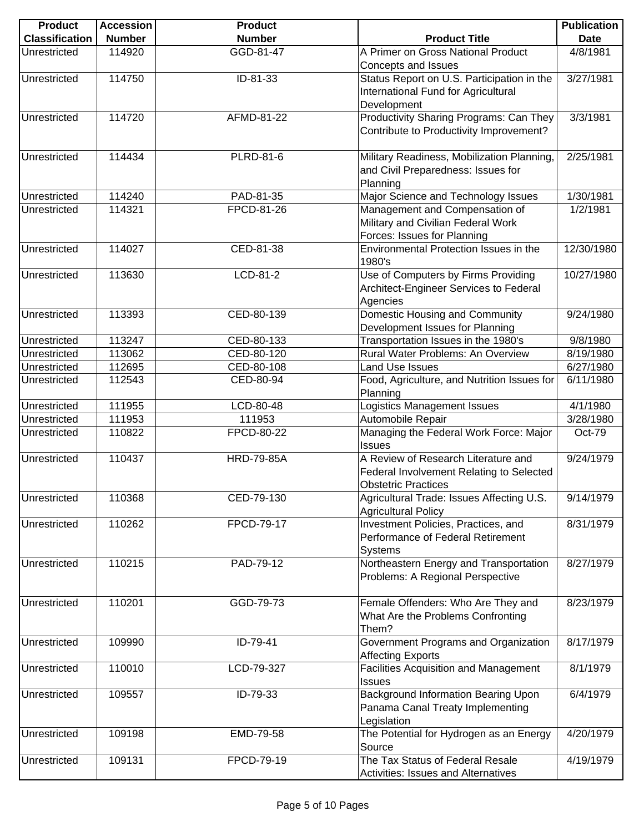| <b>Product</b>        | <b>Accession</b> | <b>Product</b>    |                                              | <b>Publication</b> |
|-----------------------|------------------|-------------------|----------------------------------------------|--------------------|
| <b>Classification</b> | <b>Number</b>    | <b>Number</b>     | <b>Product Title</b>                         | <b>Date</b>        |
| Unrestricted          | 114920           | GGD-81-47         | A Primer on Gross National Product           | 4/8/1981           |
|                       |                  |                   | Concepts and Issues                          |                    |
| Unrestricted          | 114750           | ID-81-33          | Status Report on U.S. Participation in the   | 3/27/1981          |
|                       |                  |                   | International Fund for Agricultural          |                    |
|                       |                  |                   | Development                                  |                    |
| Unrestricted          | 114720           | AFMD-81-22        | Productivity Sharing Programs: Can They      | 3/3/1981           |
|                       |                  |                   | Contribute to Productivity Improvement?      |                    |
|                       |                  |                   |                                              |                    |
| Unrestricted          | 114434           | <b>PLRD-81-6</b>  | Military Readiness, Mobilization Planning,   | 2/25/1981          |
|                       |                  |                   | and Civil Preparedness: Issues for           |                    |
|                       |                  |                   | Planning                                     |                    |
| Unrestricted          | 114240           | PAD-81-35         | Major Science and Technology Issues          | 1/30/1981          |
| Unrestricted          | 114321           | FPCD-81-26        | Management and Compensation of               | 1/2/1981           |
|                       |                  |                   | Military and Civilian Federal Work           |                    |
|                       |                  |                   | Forces: Issues for Planning                  |                    |
| Unrestricted          | 114027           | CED-81-38         | Environmental Protection Issues in the       | 12/30/1980         |
|                       |                  |                   | 1980's                                       |                    |
| Unrestricted          | 113630           | LCD-81-2          | Use of Computers by Firms Providing          | 10/27/1980         |
|                       |                  |                   | Architect-Engineer Services to Federal       |                    |
|                       |                  |                   | Agencies                                     |                    |
| Unrestricted          | 113393           | CED-80-139        | Domestic Housing and Community               | 9/24/1980          |
|                       |                  |                   | Development Issues for Planning              |                    |
| Unrestricted          | 113247           | CED-80-133        | Transportation Issues in the 1980's          | 9/8/1980           |
| Unrestricted          | 113062           | CED-80-120        | Rural Water Problems: An Overview            | 8/19/1980          |
|                       | 112695           | CED-80-108        | Land Use Issues                              | 6/27/1980          |
| Unrestricted          |                  | CED-80-94         |                                              |                    |
| Unrestricted          | 112543           |                   | Food, Agriculture, and Nutrition Issues for  | 6/11/1980          |
|                       |                  |                   | Planning                                     |                    |
| Unrestricted          | 111955           | LCD-80-48         | Logistics Management Issues                  | 4/1/1980           |
| Unrestricted          | 111953           | 111953            | Automobile Repair                            | 3/28/1980          |
| Unrestricted          | 110822           | FPCD-80-22        | Managing the Federal Work Force: Major       | Oct-79             |
|                       |                  |                   | <b>Issues</b>                                |                    |
| Unrestricted          | 110437           | <b>HRD-79-85A</b> | A Review of Research Literature and          | 9/24/1979          |
|                       |                  |                   | Federal Involvement Relating to Selected     |                    |
|                       |                  |                   | <b>Obstetric Practices</b>                   |                    |
| Unrestricted          | 110368           | CED-79-130        | Agricultural Trade: Issues Affecting U.S.    | 9/14/1979          |
|                       |                  |                   | <b>Agricultural Policy</b>                   |                    |
| Unrestricted          | 110262           | FPCD-79-17        | Investment Policies, Practices, and          | 8/31/1979          |
|                       |                  |                   | Performance of Federal Retirement            |                    |
|                       |                  |                   | Systems                                      |                    |
| Unrestricted          | 110215           | PAD-79-12         | Northeastern Energy and Transportation       | 8/27/1979          |
|                       |                  |                   | Problems: A Regional Perspective             |                    |
|                       |                  |                   |                                              |                    |
| Unrestricted          | 110201           | GGD-79-73         | Female Offenders: Who Are They and           | 8/23/1979          |
|                       |                  |                   | What Are the Problems Confronting            |                    |
|                       |                  |                   | Them?                                        |                    |
| Unrestricted          | 109990           | ID-79-41          | Government Programs and Organization         | 8/17/1979          |
|                       |                  |                   | <b>Affecting Exports</b>                     |                    |
| Unrestricted          | 110010           | LCD-79-327        | <b>Facilities Acquisition and Management</b> | 8/1/1979           |
|                       |                  |                   | Issues                                       |                    |
| Unrestricted          | 109557           | ID-79-33          | <b>Background Information Bearing Upon</b>   | 6/4/1979           |
|                       |                  |                   | Panama Canal Treaty Implementing             |                    |
|                       |                  |                   | Legislation                                  |                    |
| Unrestricted          | 109198           | EMD-79-58         | The Potential for Hydrogen as an Energy      | 4/20/1979          |
|                       |                  |                   | Source                                       |                    |
| Unrestricted          | 109131           | FPCD-79-19        | The Tax Status of Federal Resale             | 4/19/1979          |
|                       |                  |                   | Activities: Issues and Alternatives          |                    |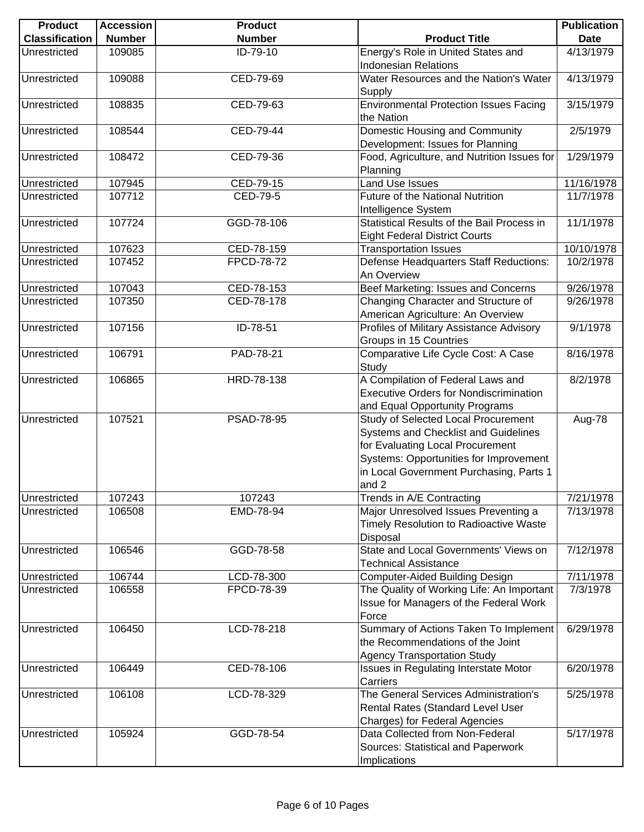| <b>Product</b>        | <b>Accession</b> | <b>Product</b> |                                                                                                                                                                                                               | <b>Publication</b> |
|-----------------------|------------------|----------------|---------------------------------------------------------------------------------------------------------------------------------------------------------------------------------------------------------------|--------------------|
| <b>Classification</b> | <b>Number</b>    | <b>Number</b>  | <b>Product Title</b>                                                                                                                                                                                          | <b>Date</b>        |
| Unrestricted          | 109085           | ID-79-10       | Energy's Role in United States and<br><b>Indonesian Relations</b>                                                                                                                                             | 4/13/1979          |
| Unrestricted          | 109088           | CED-79-69      | Water Resources and the Nation's Water<br>Supply                                                                                                                                                              | 4/13/1979          |
| Unrestricted          | 108835           | CED-79-63      | <b>Environmental Protection Issues Facing</b>                                                                                                                                                                 | 3/15/1979          |
| Unrestricted          | 108544           | CED-79-44      | the Nation<br>Domestic Housing and Community<br>Development: Issues for Planning                                                                                                                              | 2/5/1979           |
| Unrestricted          | 108472           | CED-79-36      | Food, Agriculture, and Nutrition Issues for<br>Planning                                                                                                                                                       | 1/29/1979          |
| Unrestricted          | 107945           | CED-79-15      | Land Use Issues                                                                                                                                                                                               | 11/16/1978         |
| Unrestricted          | 107712           | CED-79-5       | Future of the National Nutrition<br>Intelligence System                                                                                                                                                       | 11/7/1978          |
| Unrestricted          | 107724           | GGD-78-106     | Statistical Results of the Bail Process in<br><b>Eight Federal District Courts</b>                                                                                                                            | 11/1/1978          |
| Unrestricted          | 107623           | CED-78-159     | <b>Transportation Issues</b>                                                                                                                                                                                  | 10/10/1978         |
| Unrestricted          | 107452           | FPCD-78-72     | Defense Headquarters Staff Reductions:<br>An Overview                                                                                                                                                         | 10/2/1978          |
| Unrestricted          | 107043           | CED-78-153     | Beef Marketing: Issues and Concerns                                                                                                                                                                           | 9/26/1978          |
| Unrestricted          | 107350           | CED-78-178     | Changing Character and Structure of<br>American Agriculture: An Overview                                                                                                                                      | 9/26/1978          |
| Unrestricted          | 107156           | ID-78-51       | Profiles of Military Assistance Advisory<br>Groups in 15 Countries                                                                                                                                            | 9/1/1978           |
| Unrestricted          | 106791           | PAD-78-21      | Comparative Life Cycle Cost: A Case<br>Study                                                                                                                                                                  | 8/16/1978          |
| Unrestricted          | 106865           | HRD-78-138     | A Compilation of Federal Laws and<br><b>Executive Orders for Nondiscrimination</b><br>and Equal Opportunity Programs                                                                                          | 8/2/1978           |
| Unrestricted          | 107521           | PSAD-78-95     | Study of Selected Local Procurement<br>Systems and Checklist and Guidelines<br>for Evaluating Local Procurement<br>Systems: Opportunities for Improvement<br>in Local Government Purchasing, Parts 1<br>and 2 | Aug-78             |
| Unrestricted          | 107243           | 107243         | Trends in A/E Contracting                                                                                                                                                                                     | 7/21/1978          |
| Unrestricted          | 106508           | EMD-78-94      | Major Unresolved Issues Preventing a<br>Timely Resolution to Radioactive Waste<br>Disposal                                                                                                                    | 7/13/1978          |
| Unrestricted          | 106546           | GGD-78-58      | State and Local Governments' Views on<br><b>Technical Assistance</b>                                                                                                                                          | 7/12/1978          |
| Unrestricted          | 106744           | LCD-78-300     | Computer-Aided Building Design                                                                                                                                                                                | 7/11/1978          |
| Unrestricted          | 106558           | FPCD-78-39     | The Quality of Working Life: An Important<br>Issue for Managers of the Federal Work<br>Force                                                                                                                  | 7/3/1978           |
| Unrestricted          | 106450           | $LCD-78-218$   | Summary of Actions Taken To Implement<br>the Recommendations of the Joint<br><b>Agency Transportation Study</b>                                                                                               | 6/29/1978          |
| Unrestricted          | 106449           | CED-78-106     | Issues in Regulating Interstate Motor<br>Carriers                                                                                                                                                             | 6/20/1978          |
| Unrestricted          | 106108           | LCD-78-329     | The General Services Administration's<br>Rental Rates (Standard Level User<br>Charges) for Federal Agencies                                                                                                   | 5/25/1978          |
| Unrestricted          | 105924           | GGD-78-54      | Data Collected from Non-Federal<br>Sources: Statistical and Paperwork                                                                                                                                         | 5/17/1978          |
|                       |                  |                | Implications                                                                                                                                                                                                  |                    |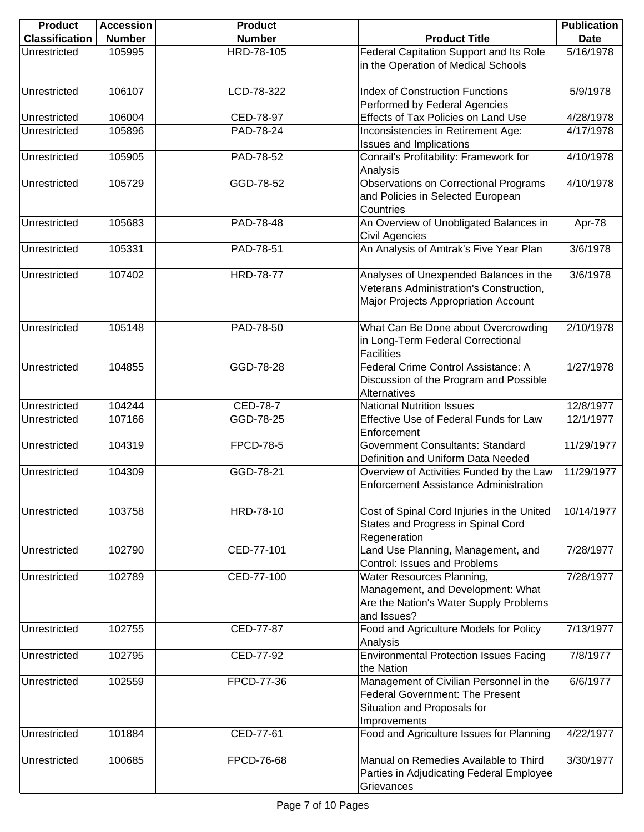| <b>Product</b>        | <b>Accession</b> | <b>Product</b>   |                                                                                                                                  | <b>Publication</b> |
|-----------------------|------------------|------------------|----------------------------------------------------------------------------------------------------------------------------------|--------------------|
| <b>Classification</b> | <b>Number</b>    | <b>Number</b>    | <b>Product Title</b>                                                                                                             | <b>Date</b>        |
| Unrestricted          | 105995           | HRD-78-105       | Federal Capitation Support and Its Role<br>in the Operation of Medical Schools                                                   | 5/16/1978          |
| Unrestricted          | 106107           | LCD-78-322       | <b>Index of Construction Functions</b><br>Performed by Federal Agencies                                                          | 5/9/1978           |
| Unrestricted          | 106004           | CED-78-97        | Effects of Tax Policies on Land Use                                                                                              | 4/28/1978          |
| Unrestricted          | 105896           | PAD-78-24        | Inconsistencies in Retirement Age:<br><b>Issues and Implications</b>                                                             | 4/17/1978          |
| Unrestricted          | 105905           | PAD-78-52        | Conrail's Profitability: Framework for<br>Analysis                                                                               | 4/10/1978          |
| Unrestricted          | 105729           | GGD-78-52        | Observations on Correctional Programs<br>and Policies in Selected European<br>Countries                                          | 4/10/1978          |
| Unrestricted          | 105683           | PAD-78-48        | An Overview of Unobligated Balances in<br>Civil Agencies                                                                         | Apr-78             |
| Unrestricted          | 105331           | PAD-78-51        | An Analysis of Amtrak's Five Year Plan                                                                                           | 3/6/1978           |
| Unrestricted          | 107402           | <b>HRD-78-77</b> | Analyses of Unexpended Balances in the<br>Veterans Administration's Construction,<br>Major Projects Appropriation Account        | 3/6/1978           |
| Unrestricted          | 105148           | PAD-78-50        | What Can Be Done about Overcrowding<br>in Long-Term Federal Correctional<br><b>Facilities</b>                                    | 2/10/1978          |
| Unrestricted          | 104855           | GGD-78-28        | Federal Crime Control Assistance: A<br>Discussion of the Program and Possible<br>Alternatives                                    | 1/27/1978          |
| Unrestricted          | 104244           | <b>CED-78-7</b>  | <b>National Nutrition Issues</b>                                                                                                 | 12/8/1977          |
| Unrestricted          | 107166           | GGD-78-25        | Effective Use of Federal Funds for Law<br>Enforcement                                                                            | 12/1/1977          |
| Unrestricted          | 104319           | <b>FPCD-78-5</b> | Government Consultants: Standard<br>Definition and Uniform Data Needed                                                           | 11/29/1977         |
| Unrestricted          | 104309           | GGD-78-21        | Overview of Activities Funded by the Law<br><b>Enforcement Assistance Administration</b>                                         | 11/29/1977         |
| Unrestricted          | 103758           | HRD-78-10        | Cost of Spinal Cord Injuries in the United<br>States and Progress in Spinal Cord<br>Regeneration                                 | 10/14/1977         |
| Unrestricted          | 102790           | CED-77-101       | Land Use Planning, Management, and<br>Control: Issues and Problems                                                               | 7/28/1977          |
| Unrestricted          | 102789           | CED-77-100       | Water Resources Planning,<br>Management, and Development: What<br>Are the Nation's Water Supply Problems<br>and Issues?          | 7/28/1977          |
| Unrestricted          | 102755           | CED-77-87        | Food and Agriculture Models for Policy<br>Analysis                                                                               | 7/13/1977          |
| Unrestricted          | 102795           | CED-77-92        | <b>Environmental Protection Issues Facing</b><br>the Nation                                                                      | 7/8/1977           |
| Unrestricted          | 102559           | FPCD-77-36       | Management of Civilian Personnel in the<br><b>Federal Government: The Present</b><br>Situation and Proposals for<br>Improvements | 6/6/1977           |
| Unrestricted          | 101884           | CED-77-61        | Food and Agriculture Issues for Planning                                                                                         | 4/22/1977          |
| Unrestricted          | 100685           | FPCD-76-68       | Manual on Remedies Available to Third<br>Parties in Adjudicating Federal Employee<br>Grievances                                  | 3/30/1977          |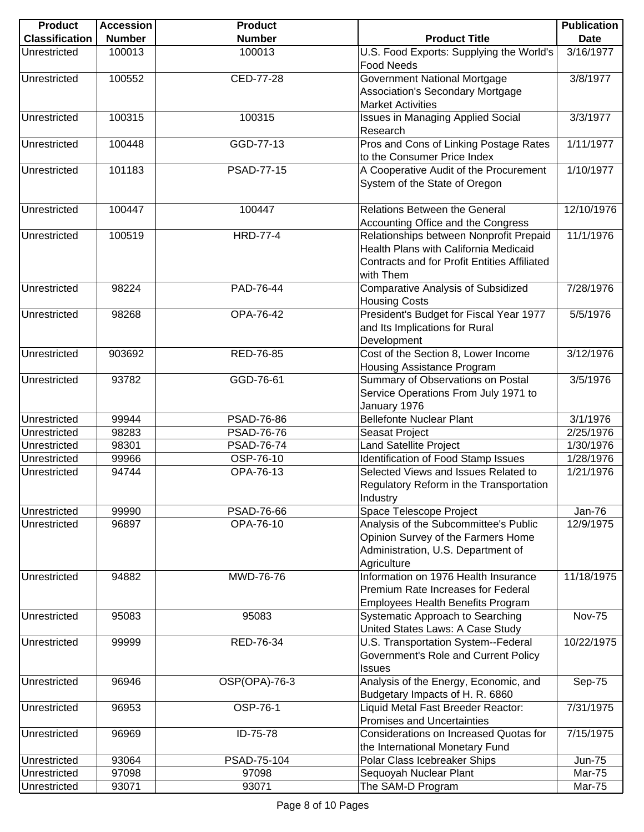| <b>Product</b>        | <b>Accession</b> | <b>Product</b>    |                                                                                                                                                      | <b>Publication</b> |
|-----------------------|------------------|-------------------|------------------------------------------------------------------------------------------------------------------------------------------------------|--------------------|
| <b>Classification</b> | <b>Number</b>    | <b>Number</b>     | <b>Product Title</b>                                                                                                                                 | <b>Date</b>        |
| Unrestricted          | 100013           | 100013            | U.S. Food Exports: Supplying the World's<br><b>Food Needs</b>                                                                                        | 3/16/1977          |
| Unrestricted          | 100552           | CED-77-28         | Government National Mortgage<br>Association's Secondary Mortgage<br><b>Market Activities</b>                                                         | 3/8/1977           |
| Unrestricted          | 100315           | 100315            | <b>Issues in Managing Applied Social</b><br>Research                                                                                                 | 3/3/1977           |
| Unrestricted          | 100448           | GGD-77-13         | Pros and Cons of Linking Postage Rates<br>to the Consumer Price Index                                                                                | 1/11/1977          |
| Unrestricted          | 101183           | <b>PSAD-77-15</b> | A Cooperative Audit of the Procurement<br>System of the State of Oregon                                                                              | 1/10/1977          |
| Unrestricted          | 100447           | 100447            | <b>Relations Between the General</b><br>Accounting Office and the Congress                                                                           | 12/10/1976         |
| Unrestricted          | 100519           | <b>HRD-77-4</b>   | Relationships between Nonprofit Prepaid<br>Health Plans with California Medicaid<br><b>Contracts and for Profit Entities Affiliated</b><br>with Them | 11/1/1976          |
| Unrestricted          | 98224            | PAD-76-44         | <b>Comparative Analysis of Subsidized</b><br><b>Housing Costs</b>                                                                                    | 7/28/1976          |
| Unrestricted          | 98268            | OPA-76-42         | President's Budget for Fiscal Year 1977<br>and Its Implications for Rural<br>Development                                                             | 5/5/1976           |
| Unrestricted          | 903692           | RED-76-85         | Cost of the Section 8, Lower Income<br>Housing Assistance Program                                                                                    | 3/12/1976          |
| Unrestricted          | 93782            | GGD-76-61         | Summary of Observations on Postal<br>Service Operations From July 1971 to<br>January 1976                                                            | 3/5/1976           |
| Unrestricted          | 99944            | PSAD-76-86        | <b>Bellefonte Nuclear Plant</b>                                                                                                                      | 3/1/1976           |
| Unrestricted          | 98283            | <b>PSAD-76-76</b> | Seasat Project                                                                                                                                       | 2/25/1976          |
| Unrestricted          | 98301            | <b>PSAD-76-74</b> | <b>Land Satellite Project</b>                                                                                                                        | 1/30/1976          |
| Unrestricted          | 99966            | OSP-76-10         | Identification of Food Stamp Issues                                                                                                                  | 1/28/1976          |
| Unrestricted          | 94744            | OPA-76-13         | Selected Views and Issues Related to<br>Regulatory Reform in the Transportation<br>Industry                                                          | 1/21/1976          |
| Unrestricted          | 99990            | PSAD-76-66        | Space Telescope Project                                                                                                                              | <b>Jan-76</b>      |
| Unrestricted          | 96897            | OPA-76-10         | Analysis of the Subcommittee's Public<br>Opinion Survey of the Farmers Home<br>Administration, U.S. Department of<br>Agriculture                     | 12/9/1975          |
| Unrestricted          | 94882            | MWD-76-76         | Information on 1976 Health Insurance<br>Premium Rate Increases for Federal<br><b>Employees Health Benefits Program</b>                               | 11/18/1975         |
| Unrestricted          | 95083            | 95083             | Systematic Approach to Searching<br>United States Laws: A Case Study                                                                                 | <b>Nov-75</b>      |
| Unrestricted          | 99999            | RED-76-34         | U.S. Transportation System--Federal<br>Government's Role and Current Policy<br><b>Issues</b>                                                         | 10/22/1975         |
| Unrestricted          | 96946            | OSP(OPA)-76-3     | Analysis of the Energy, Economic, and<br>Budgetary Impacts of H. R. 6860                                                                             | Sep-75             |
| Unrestricted          | 96953            | <b>OSP-76-1</b>   | Liquid Metal Fast Breeder Reactor:<br><b>Promises and Uncertainties</b>                                                                              | 7/31/1975          |
| Unrestricted          | 96969            | ID-75-78          | Considerations on Increased Quotas for<br>the International Monetary Fund                                                                            | 7/15/1975          |
| Unrestricted          | 93064            | PSAD-75-104       | Polar Class Icebreaker Ships                                                                                                                         | <b>Jun-75</b>      |
| Unrestricted          | 97098            | 97098             | Sequoyah Nuclear Plant                                                                                                                               | <b>Mar-75</b>      |
| Unrestricted          | 93071            | 93071             | The SAM-D Program                                                                                                                                    | Mar-75             |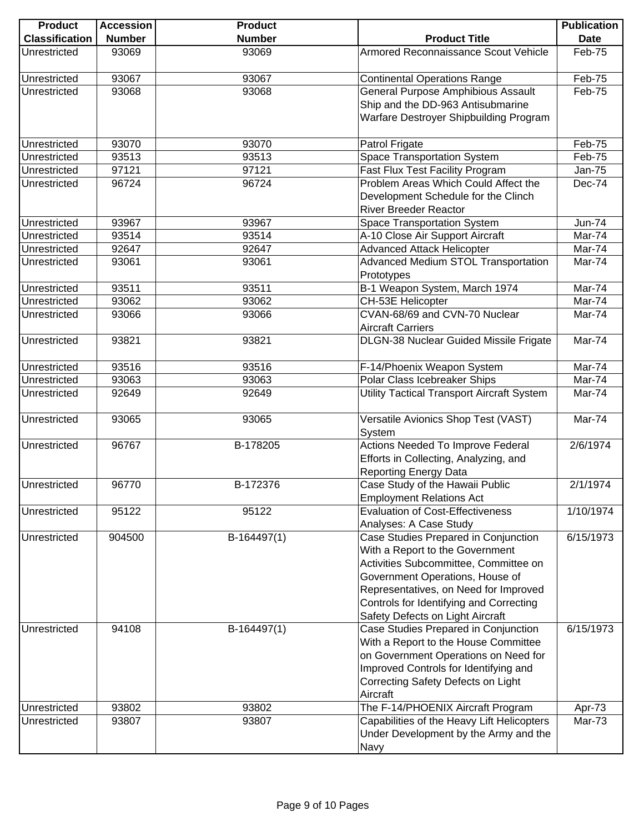| <b>Product</b>               | <b>Accession</b> | <b>Product</b> |                                                    | <b>Publication</b> |
|------------------------------|------------------|----------------|----------------------------------------------------|--------------------|
| <b>Classification</b>        | <b>Number</b>    | <b>Number</b>  | <b>Product Title</b>                               | <b>Date</b>        |
| Unrestricted                 | 93069            | 93069          | Armored Reconnaissance Scout Vehicle               | Feb-75             |
| Unrestricted                 | 93067            | 93067          | <b>Continental Operations Range</b>                | Feb-75             |
| Unrestricted                 | 93068            | 93068          | <b>General Purpose Amphibious Assault</b>          | Feb-75             |
|                              |                  |                | Ship and the DD-963 Antisubmarine                  |                    |
|                              |                  |                | Warfare Destroyer Shipbuilding Program             |                    |
| Unrestricted                 | 93070            | 93070          | Patrol Frigate                                     | Feb-75             |
| Unrestricted                 | 93513            | 93513          | Space Transportation System                        | Feb-75             |
| Unrestricted                 | 97121            | 97121          | Fast Flux Test Facility Program                    | <b>Jan-75</b>      |
| Unrestricted                 | 96724            | 96724          | Problem Areas Which Could Affect the               | Dec-74             |
|                              |                  |                | Development Schedule for the Clinch                |                    |
|                              |                  |                | <b>River Breeder Reactor</b>                       |                    |
| Unrestricted                 | 93967            | 93967          | <b>Space Transportation System</b>                 | <b>Jun-74</b>      |
| Unrestricted                 | 93514            | 93514          | A-10 Close Air Support Aircraft                    | Mar-74             |
| Unrestricted                 | 92647            | 92647          | <b>Advanced Attack Helicopter</b>                  | Mar-74             |
| Unrestricted                 | 93061            | 93061          | <b>Advanced Medium STOL Transportation</b>         | Mar-74             |
|                              |                  |                | Prototypes                                         |                    |
| Unrestricted<br>Unrestricted | 93511<br>93062   | 93511<br>93062 | B-1 Weapon System, March 1974                      | Mar-74             |
| Unrestricted                 |                  |                | CH-53E Helicopter<br>CVAN-68/69 and CVN-70 Nuclear | Mar-74<br>Mar-74   |
|                              | 93066            | 93066          | <b>Aircraft Carriers</b>                           |                    |
| Unrestricted                 | 93821            | 93821          | DLGN-38 Nuclear Guided Missile Frigate             | Mar-74             |
| Unrestricted                 | 93516            | 93516          | F-14/Phoenix Weapon System                         | Mar-74             |
| Unrestricted                 | 93063            | 93063          | Polar Class Icebreaker Ships                       | Mar-74             |
| Unrestricted                 | 92649            | 92649          | <b>Utility Tactical Transport Aircraft System</b>  | Mar-74             |
| Unrestricted                 | 93065            | 93065          | Versatile Avionics Shop Test (VAST)<br>System      | Mar-74             |
| Unrestricted                 | 96767            | B-178205       | Actions Needed To Improve Federal                  | 2/6/1974           |
|                              |                  |                | Efforts in Collecting, Analyzing, and              |                    |
|                              |                  |                | <b>Reporting Energy Data</b>                       |                    |
| Unrestricted                 | 96770            | B-172376       | Case Study of the Hawaii Public                    | 2/1/1974           |
|                              |                  |                | <b>Employment Relations Act</b>                    |                    |
| Unrestricted                 | 95122            | 95122          | <b>Evaluation of Cost-Effectiveness</b>            | 1/10/1974          |
|                              |                  |                | Analyses: A Case Study                             |                    |
| Unrestricted                 | 904500           | B-164497(1)    | Case Studies Prepared in Conjunction               | 6/15/1973          |
|                              |                  |                | With a Report to the Government                    |                    |
|                              |                  |                | Activities Subcommittee, Committee on              |                    |
|                              |                  |                | Government Operations, House of                    |                    |
|                              |                  |                | Representatives, on Need for Improved              |                    |
|                              |                  |                | Controls for Identifying and Correcting            |                    |
|                              |                  |                | Safety Defects on Light Aircraft                   |                    |
| Unrestricted                 | 94108            | $B-164497(1)$  | Case Studies Prepared in Conjunction               | 6/15/1973          |
|                              |                  |                | With a Report to the House Committee               |                    |
|                              |                  |                | on Government Operations on Need for               |                    |
|                              |                  |                | Improved Controls for Identifying and              |                    |
|                              |                  |                | Correcting Safety Defects on Light                 |                    |
|                              |                  |                | Aircraft                                           |                    |
| Unrestricted                 | 93802            | 93802          | The F-14/PHOENIX Aircraft Program                  | Apr-73             |
| Unrestricted                 | 93807            | 93807          | Capabilities of the Heavy Lift Helicopters         | <b>Mar-73</b>      |
|                              |                  |                | Under Development by the Army and the              |                    |
|                              |                  |                | Navy                                               |                    |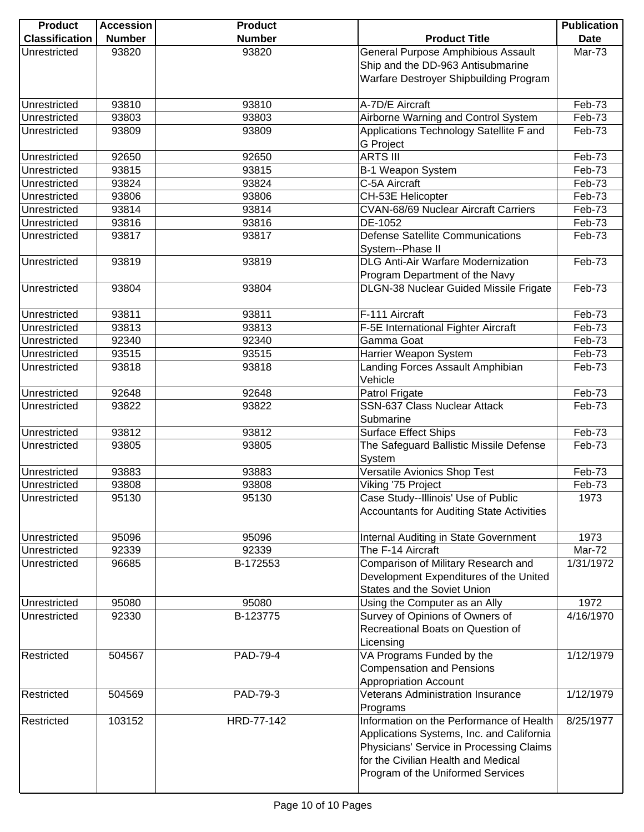| <b>Product</b>        | <b>Accession</b> | <b>Product</b> |                                                  | <b>Publication</b> |
|-----------------------|------------------|----------------|--------------------------------------------------|--------------------|
| <b>Classification</b> | <b>Number</b>    | <b>Number</b>  | <b>Product Title</b>                             | <b>Date</b>        |
| Unrestricted          | 93820            | 93820          | General Purpose Amphibious Assault               | <b>Mar-73</b>      |
|                       |                  |                | Ship and the DD-963 Antisubmarine                |                    |
|                       |                  |                | Warfare Destroyer Shipbuilding Program           |                    |
|                       |                  |                |                                                  |                    |
| Unrestricted          | 93810            | 93810          | A-7D/E Aircraft                                  | Feb-73             |
| Unrestricted          | 93803            | 93803          | Airborne Warning and Control System              | Feb-73             |
| Unrestricted          | 93809            | 93809          | Applications Technology Satellite F and          | Feb-73             |
|                       |                  |                | <b>G</b> Project                                 |                    |
| Unrestricted          | 92650            | 92650          | <b>ARTS III</b>                                  | Feb-73             |
| Unrestricted          | 93815            | 93815          | B-1 Weapon System                                | Feb-73             |
| Unrestricted          | 93824            | 93824          | C-5A Aircraft                                    | Feb-73             |
| Unrestricted          | 93806            | 93806          | CH-53E Helicopter                                | Feb-73             |
|                       | 93814            | 93814          | <b>CVAN-68/69 Nuclear Aircraft Carriers</b>      | Feb-73             |
| Unrestricted          |                  |                |                                                  |                    |
| Unrestricted          | 93816            | 93816          | DE-1052                                          | Feb-73             |
| Unrestricted          | 93817            | 93817          | <b>Defense Satellite Communications</b>          | Feb-73             |
|                       |                  |                | System--Phase II                                 |                    |
| Unrestricted          | 93819            | 93819          | <b>DLG Anti-Air Warfare Modernization</b>        | Feb-73             |
|                       |                  |                | Program Department of the Navy                   |                    |
| Unrestricted          | 93804            | 93804          | DLGN-38 Nuclear Guided Missile Frigate           | Feb-73             |
|                       |                  |                |                                                  |                    |
| Unrestricted          | 93811            | 93811          | F-111 Aircraft                                   | Feb-73             |
| Unrestricted          | 93813            | 93813          | F-5E International Fighter Aircraft              | Feb-73             |
| Unrestricted          | 92340            | 92340          | Gamma Goat                                       | Feb-73             |
| Unrestricted          | 93515            | 93515          | Harrier Weapon System                            | Feb-73             |
| Unrestricted          | 93818            | 93818          | Landing Forces Assault Amphibian                 | Feb-73             |
|                       |                  |                | Vehicle                                          |                    |
| Unrestricted          | 92648            | 92648          | Patrol Frigate                                   | Feb-73             |
| Unrestricted          | 93822            | 93822          | SSN-637 Class Nuclear Attack                     | Feb-73             |
|                       |                  |                | Submarine                                        |                    |
| Unrestricted          | 93812            | 93812          | <b>Surface Effect Ships</b>                      | Feb-73             |
| Unrestricted          | 93805            | 93805          | The Safeguard Ballistic Missile Defense          | Feb-73             |
|                       |                  |                | System                                           |                    |
| Unrestricted          | 93883            | 93883          | <b>Versatile Avionics Shop Test</b>              | Feb-73             |
| Unrestricted          | 93808            | 93808          | Viking '75 Project                               | Feb-73             |
| Unrestricted          | 95130            | 95130          | Case Study--Illinois' Use of Public              | 1973               |
|                       |                  |                | <b>Accountants for Auditing State Activities</b> |                    |
|                       |                  |                |                                                  |                    |
| Unrestricted          | 95096            | 95096          | Internal Auditing in State Government            | 1973               |
| Unrestricted          | 92339            | 92339          | The F-14 Aircraft                                | Mar-72             |
| Unrestricted          | 96685            | B-172553       | Comparison of Military Research and              | 1/31/1972          |
|                       |                  |                | Development Expenditures of the United           |                    |
|                       |                  |                | States and the Soviet Union                      |                    |
| Unrestricted          | 95080            | 95080          | Using the Computer as an Ally                    | 1972               |
| Unrestricted          | 92330            | B-123775       | Survey of Opinions of Owners of                  | 4/16/1970          |
|                       |                  |                | Recreational Boats on Question of                |                    |
|                       |                  |                |                                                  |                    |
|                       |                  |                | Licensing                                        |                    |
| Restricted            | 504567           | PAD-79-4       | VA Programs Funded by the                        | 1/12/1979          |
|                       |                  |                | <b>Compensation and Pensions</b>                 |                    |
|                       |                  |                | <b>Appropriation Account</b>                     |                    |
| Restricted            | 504569           | PAD-79-3       | <b>Veterans Administration Insurance</b>         | 1/12/1979          |
|                       |                  |                | Programs                                         |                    |
| Restricted            | 103152           | HRD-77-142     | Information on the Performance of Health         | 8/25/1977          |
|                       |                  |                | Applications Systems, Inc. and California        |                    |
|                       |                  |                | Physicians' Service in Processing Claims         |                    |
|                       |                  |                | for the Civilian Health and Medical              |                    |
|                       |                  |                | Program of the Uniformed Services                |                    |
|                       |                  |                |                                                  |                    |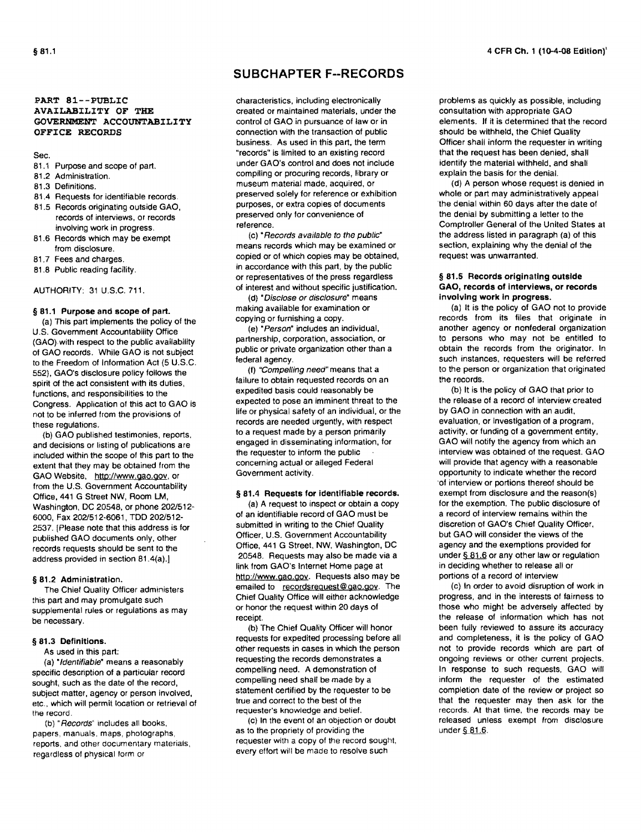#### PART 81--PUBLIC AVAILABILITY OF THE GOVERNMENT ACCOUNTABILITY OFFICE RECORDS

#### Sec.

- 81.1 Purpose and scope of part.
- 81.2 Administration.
- 81.3 Definitions.
- 81.4 Requests for identifiable records.
- 81.5 Records originating outside GAO, records of interviews, or records involving work in progress.
- 81.6 Records which may be exempt from disclosure.
- 81.7 Fees and charges.
- 81.8 Public reading facility.

#### AUTHORITY: 31 U.S.C.711.

#### § 81.1 Purpose and scope of part.

(a) This part implements the policy of the U.S. Govemment Accountability Office (GAO).with respect to the public availability of GAO records. While GAO is not subject to the Freedom of Information Act (5 U.S.C. 552), GAO's disclosure policy follows the spirit of the act consistent with its duties, functions, and responsibilities to the Congress. Application of this act to GAO is not to be inferred from the provisions of these regulations.

(b) GAO published testimonies, reports, and decisions or listing of publications are included within the scope of this part to the extent that they may be obtained from the GAO Website, http://www.gao.gov, or from the U.S. Government Accountability Office, 441 G Street NW, Room LM, Washington, DC 20548, or phone *2021512-* 6000, Fax *2021512·6061,* TOO *2021512·*  2537. [Please note that this address is for published GAO documents only, other records requests should be sent to the address provided in section 81.4(a).]

#### § 81.2 Administration.

The Chief Quality Officer administers this part and may promulgate such supplemental rules or regulations as may be necessary.

#### § 81.3 Definitions.

As used in this part;

(a) "Identifiable" means a reasonably specific description of a particular record sought, such as the date of the record, subject matter, agency or person involved, etc .• which will permit location or retrieval of the record.

(b) "Records" includes all books, papers, manuals. maps, photographs, reports. and other documentary materials, regardless of physical form or

### **SUBCHAPTERF-RECORDS**

characteristics, including electronically created or maintained materials, under the control of GAO in pursuance of law or in connection with the transaction of public business. As used in this part, the term "records" is limited to an existing record under GAO's control and does not include compiling or procuring records, library or museum material made, acquired, or preserved solely for reference or exhibition purposes, or extra copies of documents preserved only for convenience of reference.

(c) 'Records available to the public' means records which may be examined or copied or of which copies may be obtained, in accordance with this part, by the public or representatives of the press regardless of interest and without specific justification.

(d) • Disclose or disclosure" means making available for examination or copying or furnishing a copy.

(e) "Person" includes an individual, partnership, corporation, association, or public or private organization other than a federal agency.

(f) 'Compelling need" means that a failure to obtain requested records on an expedited basis could reasonably be expected to pose an imminent threat to the life or physical safety of an individual, or the records are needed urgently, with respect to a request made by a person primarily engaged in disseminating information, for the requester to inform the public concerning actual or alleged Federal Government activity.

#### § 81.4 Requests for identifiable records.

(a) A request to inspect or obtain a copy of an identifiable record 01 GAO must be submitted in writing to the Chief Quality Officer. U.S. Government Accountability Office, 441 G Street, NW, Washington, DC 20548. Requests may also be made via a link from GAO's Internet Home page at http://www.gao.gov. Requests also may be emailed to recordsrequest@gao.gov. The Chief Quality Office will either acknowledge or honor the request within 20 days of receipt.

(b) The Chief Quality Officer will honor requests for expedited processing before all other requests in cases in which the person requesting the records demonstrates a compelling need. A demonstration of compelling need shall be made by a statement certified by the requester to be true and correct to the best of the requester's knowledge and belief.

(c) In the event of an objection or doubt as to the propriety of providing the requester with a copy of the record sought, every effort will be made to resolve such

problems as quickly as possible, including consultation with appropriate GAO elements. If it is determined that the record should be withheld, the Chief Quality Officer shall inform the requester in writing that the request has been denied, shall identify the material withheld, and shall explain the basis for the denial.

(d) A person whose request is denied in whole or part may administratively appeal the denial within 60 days after the date of the denial by submitting a letter to the Comptroller General of the United States at the address listed in paragraph (a) of this section, explaining why the denial of the request was unwarranted.

#### § 81.5 Records originating outside GAO, records of interviews, or records involving work in progress.

(a) It is the policy of GAO not to provide records from its files that originate in another agency or nonfederal organization to persons who may not be entitled to obtain the records from the originator. In such instances, requesters will be referred to the person or organization that originated the records.

(b) It is the policy of GAO Ihat prior to the release of a record of interview created by GAO in connection with an audit, evaluation, or investigation of a program, activity, or funding of a government entity, GAO will notify the agency from which an interview was obtained of the request. GAO will provide that agency with a reasonable opportunity to indicate whether the record 'of interview or portions thereof should be exempt from disclosure and the reason(s) for the exemption. The public disclosure of a record of interview remains within the discretion of GAO's Chief Quality Officer, but GAO will consider the views of the agency and the exemptions provided for under  $$81.6$  or any other law or regulation in deciding whether to release all or portions of a record of interview

(c) In order to avoid disruption of work in progress, and in the interests of fairness to those who might be adversely affected by the release of information which has not been fully reviewed to assure its accuracy and completeness, it is the policy of GAO not to provide records which are part of ongoing reviews or other current projects. In response to such requests, GAO wilt inform the requester 01 the estimated completion date of the review or project so that the requester may then ask for the records. At that time. the records may be released unless exempt from disclosure under  $§ 81.6.$